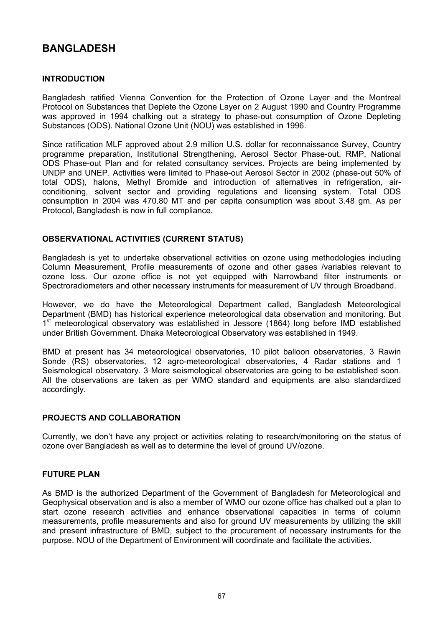# **BANGLADESH**

# **INTRODUCTION**

Bangladesh ratified Vienna Convention for the Protection of Ozone Layer and the Montreal Protocol on Substances that Deplete the Ozone Layer on 2 August 1990 and Country Programme was approved in 1994 chalking out a strategy to phase-out consumption of Ozone Depleting Substances (ODS). National Ozone Unit (NOU) was established in 1996.

Since ratification MLF approved about 2.9 million U.S. dollar for reconnaissance Survey, Country programme preparation, Institutional Strengthening, Aerosol Sector Phase-out, RMP, National ODS Phase-out Plan and for related consultancy services. Projects are being implemented by UNDP and UNEP. Activities were limited to Phase-out Aerosol Sector in 2002 (phase-out 50% of total ODS), halons, Methyl Bromide and introduction of alternatives in refrigeration, airconditioning, solvent sector and providing regulations and licensing system. Total ODS consumption in 2004 was 470.80 MT and per capita consumption was about 3.48 gm. As per Protocol, Bangladesh is now in full compliance.

## **OBSERVATIONAL ACTIVITIES (CURRENT STATUS)**

Bangladesh is yet to undertake observational activities on ozone using methodologies including Column Measurement, Profile measurements of ozone and other gases /variables relevant to ozone loss. Our ozone office is not yet equipped with Narrowband filter instruments or Spectroradiometers and other necessary instruments for measurement of UV through Broadband.

However, we do have the Meteorological Department called, Bangladesh Meteorological Department (BMD) has historical experience meteorological data observation and monitoring. But 1<sup>st</sup> meteorological observatory was established in Jessore (1864) long before IMD established under British Government. Dhaka Meteorological Observatory was established in 1949.

BMD at present has 34 meteorological observatories, 10 pilot balloon observatories, 3 Rawin Sonde (RS) observatories, 12 agro-meteorological observatories, 4 Radar stations and 1 Seismological observatory. 3 More seismological observatories are going to be established soon. All the observations are taken as per WMO standard and equipments are also standardized accordingly.

## **PROJECTS AND COLLABORATION**

Currently, we don't have any project or activities relating to research/monitoring on the status of ozone over Bangladesh as well as to determine the level of ground UV/ozone.

## **FUTURE PLAN**

As BMD is the authorized Department of the Government of Bangladesh for Meteorological and Geophysical observation and is also a member of WMO our ozone office has chalked out a plan to start ozone research activities and enhance observational capacities in terms of column measurements, profile measurements and also for ground UV measurements by utilizing the skill and present infrastructure of BMD, subject to the procurement of necessary instruments for the purpose. NOU of the Department of Environment will coordinate and facilitate the activities.